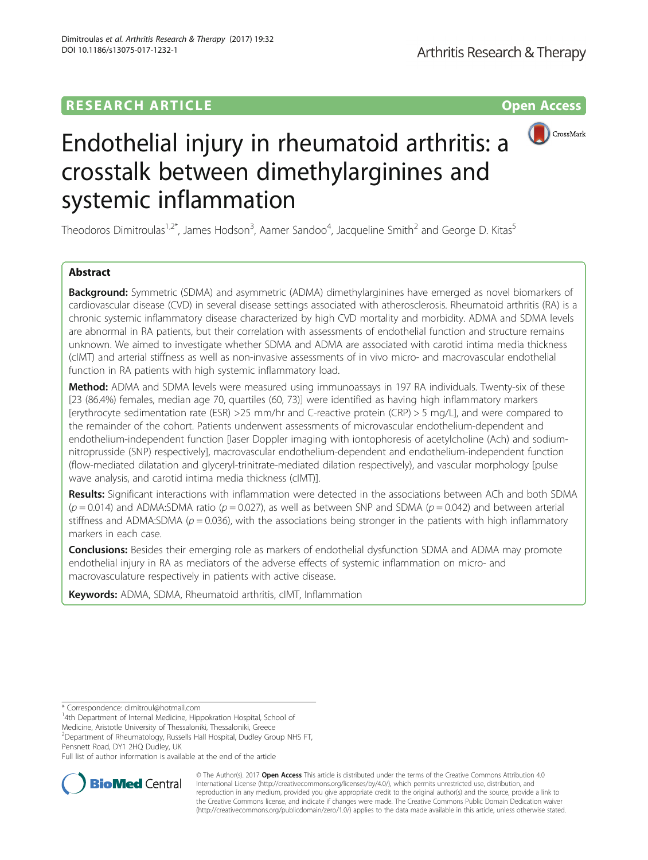## **RESEARCH ARTICLE Example 2014 12:30 The Contract of Contract ACCESS**



# Endothelial injury in rheumatoid arthritis: a crosstalk between dimethylarginines and systemic inflammation

Theodoros Dimitroulas<sup>1,2\*</sup>, James Hodson<sup>3</sup>, Aamer Sandoo<sup>4</sup>, Jacqueline Smith<sup>2</sup> and George D. Kitas<sup>5</sup>

## Abstract

**Background:** Symmetric (SDMA) and asymmetric (ADMA) dimethylarginines have emerged as novel biomarkers of cardiovascular disease (CVD) in several disease settings associated with atherosclerosis. Rheumatoid arthritis (RA) is a chronic systemic inflammatory disease characterized by high CVD mortality and morbidity. ADMA and SDMA levels are abnormal in RA patients, but their correlation with assessments of endothelial function and structure remains unknown. We aimed to investigate whether SDMA and ADMA are associated with carotid intima media thickness (cIMT) and arterial stiffness as well as non-invasive assessments of in vivo micro- and macrovascular endothelial function in RA patients with high systemic inflammatory load.

Method: ADMA and SDMA levels were measured using immunoassays in 197 RA individuals. Twenty-six of these [23 (86.4%) females, median age 70, quartiles (60, 73)] were identified as having high inflammatory markers [erythrocyte sedimentation rate (ESR) >25 mm/hr and C-reactive protein (CRP) > 5 mg/L], and were compared to the remainder of the cohort. Patients underwent assessments of microvascular endothelium-dependent and endothelium-independent function [laser Doppler imaging with iontophoresis of acetylcholine (Ach) and sodiumnitroprusside (SNP) respectively], macrovascular endothelium-dependent and endothelium-independent function (flow-mediated dilatation and glyceryl-trinitrate-mediated dilation respectively), and vascular morphology [pulse wave analysis, and carotid intima media thickness (cIMT)].

Results: Significant interactions with inflammation were detected in the associations between ACh and both SDMA  $(p = 0.014)$  and ADMA:SDMA ratio  $(p = 0.027)$ , as well as between SNP and SDMA  $(p = 0.042)$  and between arterial stiffness and ADMA:SDMA ( $p = 0.036$ ), with the associations being stronger in the patients with high inflammatory markers in each case.

**Conclusions:** Besides their emerging role as markers of endothelial dysfunction SDMA and ADMA may promote endothelial injury in RA as mediators of the adverse effects of systemic inflammation on micro- and macrovasculature respectively in patients with active disease.

Keywords: ADMA, SDMA, Rheumatoid arthritis, cIMT, Inflammation

<sup>1</sup>4th Department of Internal Medicine, Hippokration Hospital, School of

Medicine, Aristotle University of Thessaloniki, Thessaloniki, Greece

<sup>2</sup> Department of Rheumatology, Russells Hall Hospital, Dudley Group NHS FT, Pensnett Road, DY1 2HQ Dudley, UK

Full list of author information is available at the end of the article



© The Author(s). 2017 **Open Access** This article is distributed under the terms of the Creative Commons Attribution 4.0 International License [\(http://creativecommons.org/licenses/by/4.0/](http://creativecommons.org/licenses/by/4.0/)), which permits unrestricted use, distribution, and reproduction in any medium, provided you give appropriate credit to the original author(s) and the source, provide a link to the Creative Commons license, and indicate if changes were made. The Creative Commons Public Domain Dedication waiver [\(http://creativecommons.org/publicdomain/zero/1.0/](http://creativecommons.org/publicdomain/zero/1.0/)) applies to the data made available in this article, unless otherwise stated.

<sup>\*</sup> Correspondence: [dimitroul@hotmail.com](mailto:dimitroul@hotmail.com) <sup>1</sup>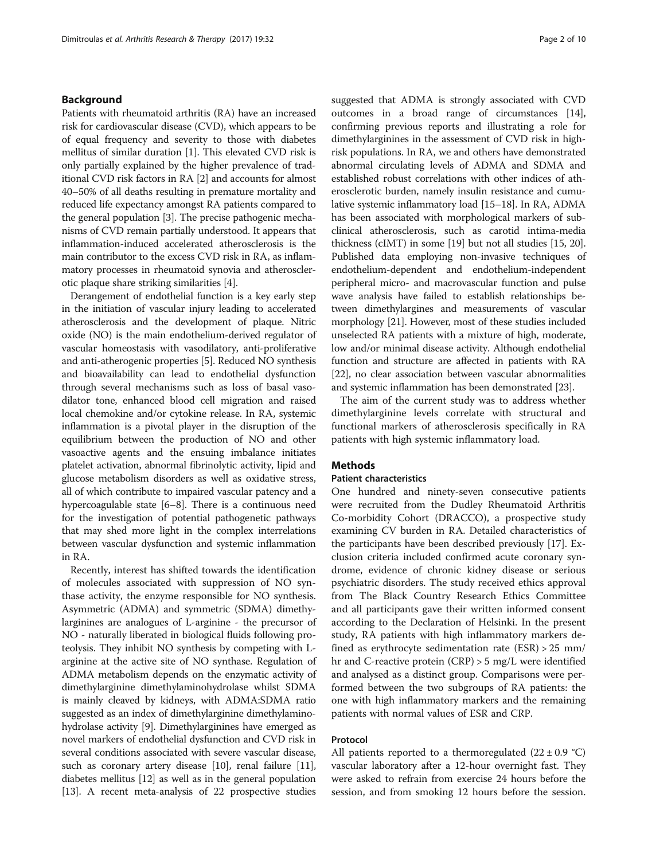## Background

Patients with rheumatoid arthritis (RA) have an increased risk for cardiovascular disease (CVD), which appears to be of equal frequency and severity to those with diabetes mellitus of similar duration [\[1](#page-8-0)]. This elevated CVD risk is only partially explained by the higher prevalence of traditional CVD risk factors in RA [[2\]](#page-8-0) and accounts for almost 40–50% of all deaths resulting in premature mortality and reduced life expectancy amongst RA patients compared to the general population [\[3](#page-9-0)]. The precise pathogenic mechanisms of CVD remain partially understood. It appears that inflammation-induced accelerated atherosclerosis is the main contributor to the excess CVD risk in RA, as inflammatory processes in rheumatoid synovia and atherosclerotic plaque share striking similarities [[4\]](#page-9-0).

Derangement of endothelial function is a key early step in the initiation of vascular injury leading to accelerated atherosclerosis and the development of plaque. Nitric oxide (NO) is the main endothelium-derived regulator of vascular homeostasis with vasodilatory, anti-proliferative and anti-atherogenic properties [[5\]](#page-9-0). Reduced NO synthesis and bioavailability can lead to endothelial dysfunction through several mechanisms such as loss of basal vasodilator tone, enhanced blood cell migration and raised local chemokine and/or cytokine release. In RA, systemic inflammation is a pivotal player in the disruption of the equilibrium between the production of NO and other vasoactive agents and the ensuing imbalance initiates platelet activation, abnormal fibrinolytic activity, lipid and glucose metabolism disorders as well as oxidative stress, all of which contribute to impaired vascular patency and a hypercoagulable state [\[6](#page-9-0)–[8\]](#page-9-0). There is a continuous need for the investigation of potential pathogenetic pathways that may shed more light in the complex interrelations between vascular dysfunction and systemic inflammation in RA.

Recently, interest has shifted towards the identification of molecules associated with suppression of NO synthase activity, the enzyme responsible for NO synthesis. Asymmetric (ADMA) and symmetric (SDMA) dimethylarginines are analogues of L-arginine - the precursor of NO - naturally liberated in biological fluids following proteolysis. They inhibit NO synthesis by competing with Larginine at the active site of NO synthase. Regulation of ADMA metabolism depends on the enzymatic activity of dimethylarginine dimethylaminohydrolase whilst SDMA is mainly cleaved by kidneys, with ADMA:SDMA ratio suggested as an index of dimethylarginine dimethylaminohydrolase activity [\[9](#page-9-0)]. Dimethylarginines have emerged as novel markers of endothelial dysfunction and CVD risk in several conditions associated with severe vascular disease, such as coronary artery disease [[10](#page-9-0)], renal failure [[11](#page-9-0)], diabetes mellitus [\[12\]](#page-9-0) as well as in the general population [[13](#page-9-0)]. A recent meta-analysis of 22 prospective studies suggested that ADMA is strongly associated with CVD outcomes in a broad range of circumstances [[14](#page-9-0)], confirming previous reports and illustrating a role for dimethylarginines in the assessment of CVD risk in highrisk populations. In RA, we and others have demonstrated abnormal circulating levels of ADMA and SDMA and established robust correlations with other indices of atherosclerotic burden, namely insulin resistance and cumulative systemic inflammatory load [\[15](#page-9-0)–[18](#page-9-0)]. In RA, ADMA has been associated with morphological markers of subclinical atherosclerosis, such as carotid intima-media thickness (cIMT) in some [[19](#page-9-0)] but not all studies [\[15, 20](#page-9-0)]. Published data employing non-invasive techniques of endothelium-dependent and endothelium-independent peripheral micro- and macrovascular function and pulse wave analysis have failed to establish relationships between dimethylargines and measurements of vascular morphology [\[21\]](#page-9-0). However, most of these studies included unselected RA patients with a mixture of high, moderate, low and/or minimal disease activity. Although endothelial function and structure are affected in patients with RA [[22](#page-9-0)], no clear association between vascular abnormalities and systemic inflammation has been demonstrated [\[23](#page-9-0)].

The aim of the current study was to address whether dimethylarginine levels correlate with structural and functional markers of atherosclerosis specifically in RA patients with high systemic inflammatory load.

## **Methods**

#### Patient characteristics

One hundred and ninety-seven consecutive patients were recruited from the Dudley Rheumatoid Arthritis Co-morbidity Cohort (DRACCO), a prospective study examining CV burden in RA. Detailed characteristics of the participants have been described previously [\[17](#page-9-0)]. Exclusion criteria included confirmed acute coronary syndrome, evidence of chronic kidney disease or serious psychiatric disorders. The study received ethics approval from The Black Country Research Ethics Committee and all participants gave their written informed consent according to the Declaration of Helsinki. In the present study, RA patients with high inflammatory markers defined as erythrocyte sedimentation rate (ESR) > 25 mm/ hr and C-reactive protein (CRP) > 5 mg/L were identified and analysed as a distinct group. Comparisons were performed between the two subgroups of RA patients: the one with high inflammatory markers and the remaining patients with normal values of ESR and CRP.

## Protocol

All patients reported to a thermoregulated  $(22 \pm 0.9 \degree C)$ vascular laboratory after a 12-hour overnight fast. They were asked to refrain from exercise 24 hours before the session, and from smoking 12 hours before the session.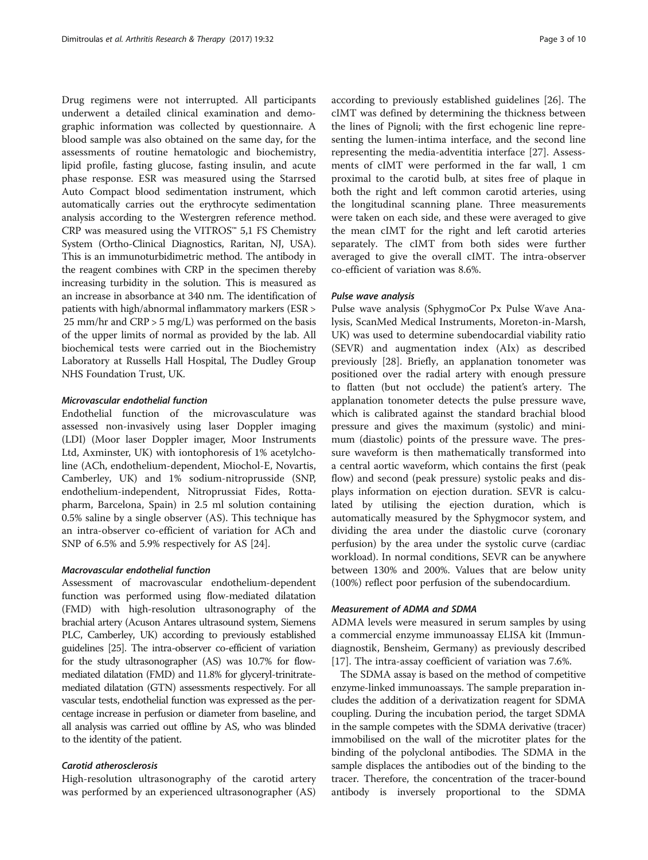Drug regimens were not interrupted. All participants underwent a detailed clinical examination and demographic information was collected by questionnaire. A blood sample was also obtained on the same day, for the assessments of routine hematologic and biochemistry, lipid profile, fasting glucose, fasting insulin, and acute phase response. ESR was measured using the Starrsed Auto Compact blood sedimentation instrument, which automatically carries out the erythrocyte sedimentation analysis according to the Westergren reference method. CRP was measured using the VITROS<sup>™</sup> 5,1 FS Chemistry System (Ortho-Clinical Diagnostics, Raritan, NJ, USA). This is an immunoturbidimetric method. The antibody in the reagent combines with CRP in the specimen thereby increasing turbidity in the solution. This is measured as an increase in absorbance at 340 nm. The identification of patients with high/abnormal inflammatory markers (ESR > 25 mm/hr and  $CRP > 5$  mg/L) was performed on the basis of the upper limits of normal as provided by the lab. All biochemical tests were carried out in the Biochemistry Laboratory at Russells Hall Hospital, The Dudley Group NHS Foundation Trust, UK.

## Microvascular endothelial function

Endothelial function of the microvasculature was assessed non-invasively using laser Doppler imaging (LDI) (Moor laser Doppler imager, Moor Instruments Ltd, Axminster, UK) with iontophoresis of 1% acetylcholine (ACh, endothelium-dependent, Miochol-E, Novartis, Camberley, UK) and 1% sodium-nitroprusside (SNP, endothelium-independent, Nitroprussiat Fides, Rottapharm, Barcelona, Spain) in 2.5 ml solution containing 0.5% saline by a single observer (AS). This technique has an intra-observer co-efficient of variation for ACh and SNP of 6.5% and 5.9% respectively for AS [\[24](#page-9-0)].

#### Macrovascular endothelial function

Assessment of macrovascular endothelium-dependent function was performed using flow-mediated dilatation (FMD) with high-resolution ultrasonography of the brachial artery (Acuson Antares ultrasound system, Siemens PLC, Camberley, UK) according to previously established guidelines [\[25](#page-9-0)]. The intra-observer co-efficient of variation for the study ultrasonographer (AS) was 10.7% for flowmediated dilatation (FMD) and 11.8% for glyceryl-trinitratemediated dilatation (GTN) assessments respectively. For all vascular tests, endothelial function was expressed as the percentage increase in perfusion or diameter from baseline, and all analysis was carried out offline by AS, who was blinded to the identity of the patient.

## Carotid atherosclerosis

High-resolution ultrasonography of the carotid artery was performed by an experienced ultrasonographer (AS) according to previously established guidelines [\[26](#page-9-0)]. The cIMT was defined by determining the thickness between the lines of Pignoli; with the first echogenic line representing the lumen-intima interface, and the second line representing the media-adventitia interface [[27](#page-9-0)]. Assessments of cIMT were performed in the far wall, 1 cm proximal to the carotid bulb, at sites free of plaque in both the right and left common carotid arteries, using the longitudinal scanning plane. Three measurements were taken on each side, and these were averaged to give the mean cIMT for the right and left carotid arteries separately. The cIMT from both sides were further averaged to give the overall cIMT. The intra-observer co-efficient of variation was 8.6%.

## Pulse wave analysis

Pulse wave analysis (SphygmoCor Px Pulse Wave Analysis, ScanMed Medical Instruments, Moreton-in-Marsh, UK) was used to determine subendocardial viability ratio (SEVR) and augmentation index (AIx) as described previously [[28](#page-9-0)]. Briefly, an applanation tonometer was positioned over the radial artery with enough pressure to flatten (but not occlude) the patient's artery. The applanation tonometer detects the pulse pressure wave, which is calibrated against the standard brachial blood pressure and gives the maximum (systolic) and minimum (diastolic) points of the pressure wave. The pressure waveform is then mathematically transformed into a central aortic waveform, which contains the first (peak flow) and second (peak pressure) systolic peaks and displays information on ejection duration. SEVR is calculated by utilising the ejection duration, which is automatically measured by the Sphygmocor system, and dividing the area under the diastolic curve (coronary perfusion) by the area under the systolic curve (cardiac workload). In normal conditions, SEVR can be anywhere between 130% and 200%. Values that are below unity (100%) reflect poor perfusion of the subendocardium.

#### Measurement of ADMA and SDMA

ADMA levels were measured in serum samples by using a commercial enzyme immunoassay ELISA kit (Immundiagnostik, Bensheim, Germany) as previously described [[17\]](#page-9-0). The intra-assay coefficient of variation was 7.6%.

The SDMA assay is based on the method of competitive enzyme-linked immunoassays. The sample preparation includes the addition of a derivatization reagent for SDMA coupling. During the incubation period, the target SDMA in the sample competes with the SDMA derivative (tracer) immobilised on the wall of the microtiter plates for the binding of the polyclonal antibodies. The SDMA in the sample displaces the antibodies out of the binding to the tracer. Therefore, the concentration of the tracer-bound antibody is inversely proportional to the SDMA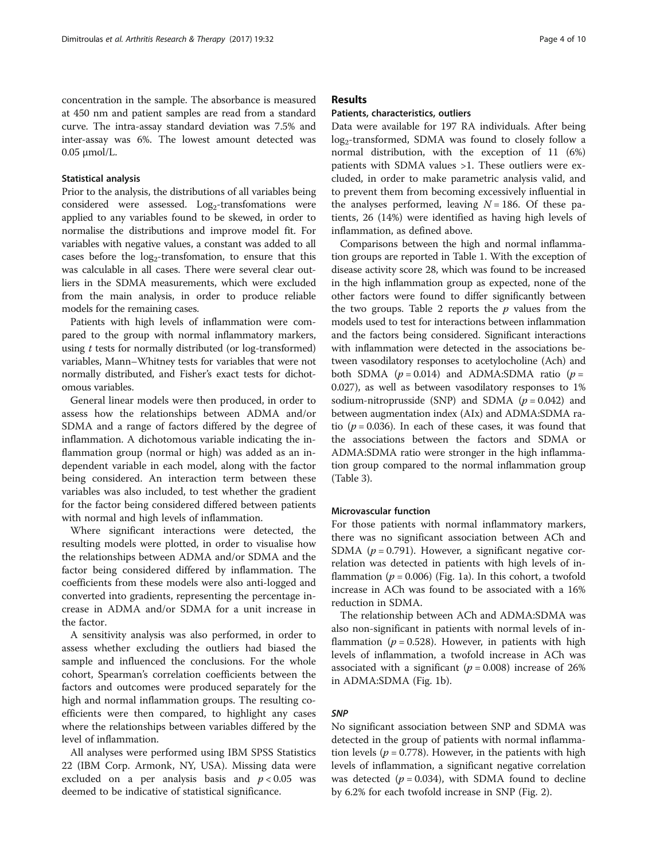concentration in the sample. The absorbance is measured at 450 nm and patient samples are read from a standard curve. The intra-assay standard deviation was 7.5% and inter-assay was 6%. The lowest amount detected was 0.05 μmol/L.

#### Statistical analysis

Prior to the analysis, the distributions of all variables being considered were assessed.  $Log_2$ -transfomations were applied to any variables found to be skewed, in order to normalise the distributions and improve model fit. For variables with negative values, a constant was added to all cases before the  $log_2$ -transfomation, to ensure that this was calculable in all cases. There were several clear outliers in the SDMA measurements, which were excluded from the main analysis, in order to produce reliable models for the remaining cases.

Patients with high levels of inflammation were compared to the group with normal inflammatory markers, using t tests for normally distributed (or log-transformed) variables, Mann–Whitney tests for variables that were not normally distributed, and Fisher's exact tests for dichotomous variables.

General linear models were then produced, in order to assess how the relationships between ADMA and/or SDMA and a range of factors differed by the degree of inflammation. A dichotomous variable indicating the inflammation group (normal or high) was added as an independent variable in each model, along with the factor being considered. An interaction term between these variables was also included, to test whether the gradient for the factor being considered differed between patients with normal and high levels of inflammation.

Where significant interactions were detected, the resulting models were plotted, in order to visualise how the relationships between ADMA and/or SDMA and the factor being considered differed by inflammation. The coefficients from these models were also anti-logged and converted into gradients, representing the percentage increase in ADMA and/or SDMA for a unit increase in the factor.

A sensitivity analysis was also performed, in order to assess whether excluding the outliers had biased the sample and influenced the conclusions. For the whole cohort, Spearman's correlation coefficients between the factors and outcomes were produced separately for the high and normal inflammation groups. The resulting coefficients were then compared, to highlight any cases where the relationships between variables differed by the level of inflammation.

All analyses were performed using IBM SPSS Statistics 22 (IBM Corp. Armonk, NY, USA). Missing data were excluded on a per analysis basis and  $p < 0.05$  was deemed to be indicative of statistical significance.

## Results

#### Patients, characteristics, outliers

Data were available for 197 RA individuals. After being  $log_2$ -transformed, SDMA was found to closely follow a normal distribution, with the exception of 11 (6%) patients with SDMA values >1. These outliers were excluded, in order to make parametric analysis valid, and to prevent them from becoming excessively influential in the analyses performed, leaving  $N = 186$ . Of these patients, 26 (14%) were identified as having high levels of inflammation, as defined above.

Comparisons between the high and normal inflammation groups are reported in Table [1](#page-4-0). With the exception of disease activity score 28, which was found to be increased in the high inflammation group as expected, none of the other factors were found to differ significantly between the two groups. Table [2](#page-4-0) reports the  $p$  values from the models used to test for interactions between inflammation and the factors being considered. Significant interactions with inflammation were detected in the associations between vasodilatory responses to acetylocholine (Ach) and both SDMA ( $p = 0.014$ ) and ADMA:SDMA ratio ( $p =$ 0.027), as well as between vasodilatory responses to 1% sodium-nitroprusside (SNP) and SDMA ( $p = 0.042$ ) and between augmentation index (AIx) and ADMA:SDMA ratio ( $p = 0.036$ ). In each of these cases, it was found that the associations between the factors and SDMA or ADMA:SDMA ratio were stronger in the high inflammation group compared to the normal inflammation group (Table [3](#page-5-0)).

#### Microvascular function

For those patients with normal inflammatory markers, there was no significant association between ACh and SDMA ( $p = 0.791$ ). However, a significant negative correlation was detected in patients with high levels of inflammation ( $p = 0.006$ ) (Fig. [1a](#page-6-0)). In this cohort, a twofold increase in ACh was found to be associated with a 16% reduction in SDMA.

The relationship between ACh and ADMA:SDMA was also non-significant in patients with normal levels of inflammation ( $p = 0.528$ ). However, in patients with high levels of inflammation, a twofold increase in ACh was associated with a significant ( $p = 0.008$ ) increase of 26% in ADMA:SDMA (Fig. [1b](#page-6-0)).

#### SNP

No significant association between SNP and SDMA was detected in the group of patients with normal inflammation levels ( $p = 0.778$ ). However, in the patients with high levels of inflammation, a significant negative correlation was detected ( $p = 0.034$ ), with SDMA found to decline by 6.2% for each twofold increase in SNP (Fig. [2](#page-7-0)).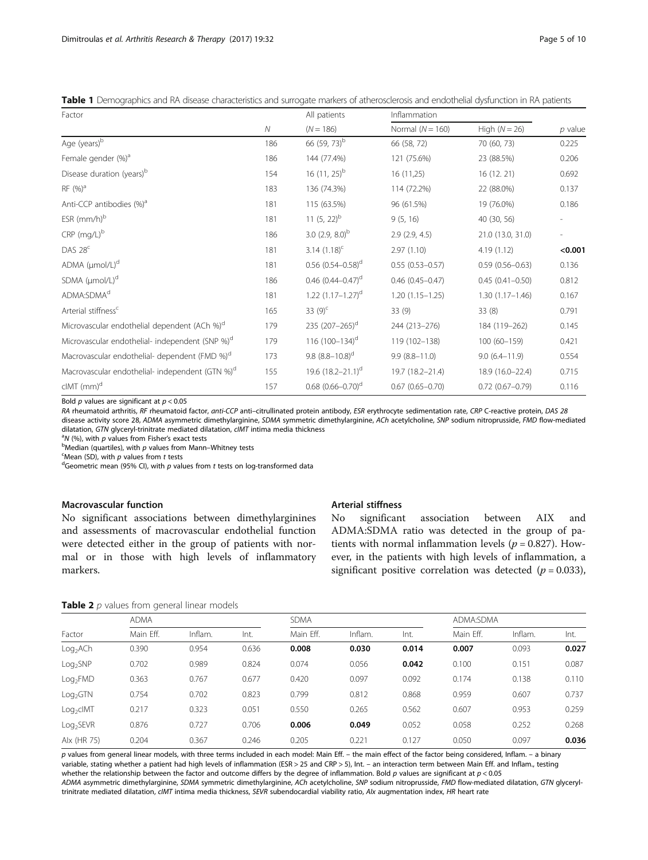<span id="page-4-0"></span>

|  |  | Table 1 Demographics and RA disease characteristics and surrogate markers of atherosclerosis and endothelial dysfunction in RA patients |  |  |  |  |  |
|--|--|-----------------------------------------------------------------------------------------------------------------------------------------|--|--|--|--|--|
|--|--|-----------------------------------------------------------------------------------------------------------------------------------------|--|--|--|--|--|

| Factor                                                      |     | All patients                        | Inflammation         |                        |           |
|-------------------------------------------------------------|-----|-------------------------------------|----------------------|------------------------|-----------|
|                                                             | Ν   | $(N = 186)$                         | Normal ( $N = 160$ ) | High $(N = 26)$        | $p$ value |
| Age (years) <sup>b</sup>                                    | 186 | 66 (59, 73) <sup>b</sup>            | 66 (58, 72)          | 70 (60, 73)            | 0.225     |
| Female gender (%) <sup>a</sup>                              | 186 | 144 (77.4%)                         | 121 (75.6%)          | 23 (88.5%)             | 0.206     |
| Disease duration (years) <sup>b</sup>                       | 154 | 16 $(11, 25)^{b}$                   | 16 (11,25)           | 16 (12.21)             | 0.692     |
| RF (%) <sup>a</sup>                                         | 183 | 136 (74.3%)                         | 114 (72.2%)          | 22 (88.0%)             | 0.137     |
| Anti-CCP antibodies (%) <sup>a</sup>                        | 181 | 115 (63.5%)                         | 96 (61.5%)           | 19 (76.0%)             | 0.186     |
| ESR $(mm/h)^b$                                              | 181 | 11 $(5, 22)^b$                      | 9(5, 16)             | 40 (30, 56)            |           |
| $CRP$ (mg/L) $b$                                            | 186 | 3.0 $(2.9, 8.0)^{b}$                | 2.9(2.9, 4.5)        | 21.0 (13.0, 31.0)      |           |
| DAS $28c$                                                   | 181 | 3.14 $(1.18)^c$                     | 2.97(1.10)           | 4.19(1.12)             | < 0.001   |
| ADMA $(\mu \text{mol/L})^d$                                 | 181 | $0.56$ $(0.54 - 0.58)$ <sup>d</sup> | $0.55(0.53 - 0.57)$  | $0.59(0.56 - 0.63)$    | 0.136     |
| SDMA (µmol/L) <sup>d</sup>                                  | 186 | 0.46 $(0.44 - 0.47)$ <sup>d</sup>   | $0.46(0.45 - 0.47)$  | $0.45(0.41 - 0.50)$    | 0.812     |
| ADMA:SDMA <sup>d</sup>                                      | 181 | $1.22$ $(1.17-1.27)$ <sup>d</sup>   | $1.20(1.15 - 1.25)$  | $1.30(1.17 - 1.46)$    | 0.167     |
| Arterial stiffness <sup>c</sup>                             | 165 | 33 $(9)^c$                          | 33(9)                | 33(8)                  | 0.791     |
| Microvascular endothelial dependent (ACh %) <sup>d</sup>    | 179 | 235 (207-265) <sup>d</sup>          | 244 (213-276)        | 184 (119-262)          | 0.145     |
| Microvascular endothelial- independent (SNP %) <sup>d</sup> | 179 | 116 $(100-134)$ <sup>d</sup>        | 119 (102-138)        | 100 (60-159)           | 0.421     |
| Macrovascular endothelial- dependent (FMD %) <sup>d</sup>   | 173 | 9.8 $(8.8-10.8)^d$                  | $9.9(8.8 - 11.0)$    | $9.0(6.4 - 11.9)$      | 0.554     |
| Macrovascular endothelial- independent (GTN %) <sup>d</sup> | 155 | 19.6 $(18.2 - 21.1)^d$              | 19.7 (18.2-21.4)     | 18.9 (16.0-22.4)       | 0.715     |
| $clMT$ (mm) <sup>d</sup>                                    | 157 | $0.68$ $(0.66 - 0.70)$ <sup>d</sup> | $0.67(0.65 - 0.70)$  | $0.72$ $(0.67 - 0.79)$ | 0.116     |

Bold  $p$  values are significant at  $p < 0.05$ 

RA rheumatoid arthritis, RF rheumatoid factor, anti-CCP anti-citrullinated protein antibody, ESR erythrocyte sedimentation rate, CRP C-reactive protein, DAS 28 disease activity score 28, ADMA asymmetric dimethylarginine, SDMA symmetric dimethylarginine, ACh acetylcholine, SNP sodium nitroprusside, FMD flow-mediated dilatation, GTN glyceryl-trinitrate mediated dilatation, cIMT intima media thickness

 $N$  (%), with p values from Fisher's exact tests

 $<sup>b</sup>$ Median (quartiles), with p values from Mann–Whitney tests</sup>

 $<sup>c</sup>$ Mean (SD), with  $p$  values from t tests</sup>

<sup>d</sup>Geometric mean (95% CI), with  $p$  values from  $t$  tests on log-transformed data

## Macrovascular function

No significant associations between dimethylarginines and assessments of macrovascular endothelial function were detected either in the group of patients with normal or in those with high levels of inflammatory markers.

## Arterial stiffness

No significant association between AIX and ADMA:SDMA ratio was detected in the group of patients with normal inflammation levels ( $p = 0.827$ ). However, in the patients with high levels of inflammation, a significant positive correlation was detected ( $p = 0.033$ ),

Table 2 *p* values from general linear models

| $\tilde{\phantom{a}}$ |             |         |       |             |         |       |           |           |       |  |
|-----------------------|-------------|---------|-------|-------------|---------|-------|-----------|-----------|-------|--|
|                       | <b>ADMA</b> |         |       | <b>SDMA</b> |         |       |           | ADMA:SDMA |       |  |
| Factor                | Main Eff.   | Inflam. | Int.  | Main Eff.   | Inflam. | Int.  | Main Eff. | Inflam.   | Int.  |  |
| Log <sub>2</sub> ACh  | 0.390       | 0.954   | 0.636 | 0.008       | 0.030   | 0.014 | 0.007     | 0.093     | 0.027 |  |
| Log <sub>2</sub> SNP  | 0.702       | 0.989   | 0.824 | 0.074       | 0.056   | 0.042 | 0.100     | 0.151     | 0.087 |  |
| Log <sub>2</sub> FMD  | 0.363       | 0.767   | 0.677 | 0.420       | 0.097   | 0.092 | 0.174     | 0.138     | 0.110 |  |
| Log <sub>2</sub> GTN  | 0.754       | 0.702   | 0.823 | 0.799       | 0.812   | 0.868 | 0.959     | 0.607     | 0.737 |  |
| Log <sub>2</sub> clMT | 0.217       | 0.323   | 0.051 | 0.550       | 0.265   | 0.562 | 0.607     | 0.953     | 0.259 |  |
| Log <sub>2</sub> SEVR | 0.876       | 0.727   | 0.706 | 0.006       | 0.049   | 0.052 | 0.058     | 0.252     | 0.268 |  |
| Alx (HR 75)           | 0.204       | 0.367   | 0.246 | 0.205       | 0.221   | 0.127 | 0.050     | 0.097     | 0.036 |  |
|                       |             |         |       |             |         |       |           |           |       |  |

p values from general linear models, with three terms included in each model: Main Eff. – the main effect of the factor being considered, Inflam. – a binary variable, stating whether a patient had high levels of inflammation (ESR > 25 and CRP > 5), Int. – an interaction term between Main Eff. and Inflam., testing whether the relationship between the factor and outcome differs by the degree of inflammation. Bold  $p$  values are significant at  $p < 0.05$ 

ADMA asymmetric dimethylarginine, SDMA symmetric dimethylarginine, ACh acetylcholine, SNP sodium nitroprusside, FMD flow-mediated dilatation, GTN glyceryltrinitrate mediated dilatation, cIMT intima media thickness, SEVR subendocardial viability ratio, AIx augmentation index, HR heart rate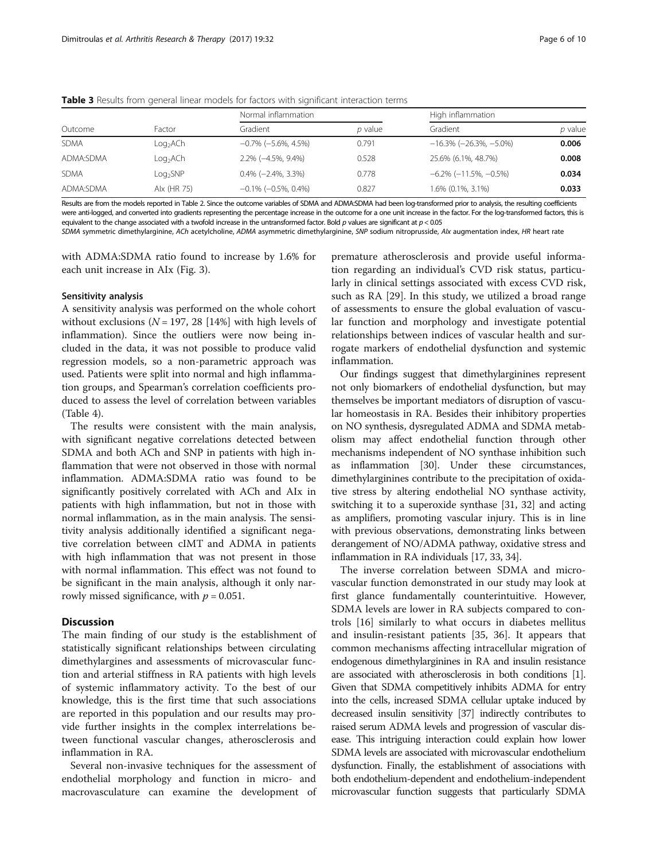|             |                      | Normal inflammation            |         | High inflammation                  |         |
|-------------|----------------------|--------------------------------|---------|------------------------------------|---------|
| Outcome     | Factor               | Gradient                       | p value | Gradient                           | p value |
| <b>SDMA</b> | Log <sub>2</sub> ACh | $-0.7\%$ ( $-5.6\%$ , 4.5%)    | 0.791   | $-16.3\%$ ( $-26.3\%$ , $-5.0\%$ ) | 0.006   |
| ADMA:SDMA   | Log <sub>2</sub> ACh | $2.2\%$ ( $-4.5\%$ , $9.4\%$ ) | 0.528   | 25.6% (6.1%, 48.7%)                | 0.008   |
| <b>SDMA</b> | Log <sub>2</sub> SNP | $0.4\%$ (-2.4%, 3.3%)          | 0.778   | $-6.2\%$ ( $-11.5\%$ , $-0.5\%$ )  | 0.034   |
| ADMA:SDMA   | Alx (HR 75)          | $-0.1\%$ ( $-0.5\%$ , 0.4%)    | 0.827   | 1.6% (0.1%, 3.1%)                  | 0.033   |

<span id="page-5-0"></span>Table 3 Results from general linear models for factors with significant interaction terms

Results are from the models reported in Table [2](#page-4-0). Since the outcome variables of SDMA and ADMA:SDMA had been log-transformed prior to analysis, the resulting coefficients were anti-logged, and converted into gradients representing the percentage increase in the outcome for a one unit increase in the factor. For the log-transformed factors, this is equivalent to the change associated with a twofold increase in the untransformed factor. Bold  $p$  values are significant at  $p < 0.05$ 

SDMA symmetric dimethylarginine, ACh acetylcholine, ADMA asymmetric dimethylarginine, SNP sodium nitroprusside, Alx augmentation index, HR heart rate

with ADMA:SDMA ratio found to increase by 1.6% for each unit increase in AIx (Fig. [3](#page-7-0)).

## Sensitivity analysis

A sensitivity analysis was performed on the whole cohort without exclusions ( $N = 197, 28$  [14%] with high levels of inflammation). Since the outliers were now being included in the data, it was not possible to produce valid regression models, so a non-parametric approach was used. Patients were split into normal and high inflammation groups, and Spearman's correlation coefficients produced to assess the level of correlation between variables (Table [4\)](#page-8-0).

The results were consistent with the main analysis, with significant negative correlations detected between SDMA and both ACh and SNP in patients with high inflammation that were not observed in those with normal inflammation. ADMA:SDMA ratio was found to be significantly positively correlated with ACh and AIx in patients with high inflammation, but not in those with normal inflammation, as in the main analysis. The sensitivity analysis additionally identified a significant negative correlation between cIMT and ADMA in patients with high inflammation that was not present in those with normal inflammation. This effect was not found to be significant in the main analysis, although it only narrowly missed significance, with  $p = 0.051$ .

## **Discussion**

The main finding of our study is the establishment of statistically significant relationships between circulating dimethylargines and assessments of microvascular function and arterial stiffness in RA patients with high levels of systemic inflammatory activity. To the best of our knowledge, this is the first time that such associations are reported in this population and our results may provide further insights in the complex interrelations between functional vascular changes, atherosclerosis and inflammation in RA.

Several non-invasive techniques for the assessment of endothelial morphology and function in micro- and macrovasculature can examine the development of

premature atherosclerosis and provide useful information regarding an individual's CVD risk status, particularly in clinical settings associated with excess CVD risk, such as RA [\[29\]](#page-9-0). In this study, we utilized a broad range of assessments to ensure the global evaluation of vascular function and morphology and investigate potential relationships between indices of vascular health and surrogate markers of endothelial dysfunction and systemic inflammation.

Our findings suggest that dimethylarginines represent not only biomarkers of endothelial dysfunction, but may themselves be important mediators of disruption of vascular homeostasis in RA. Besides their inhibitory properties on NO synthesis, dysregulated ADMA and SDMA metabolism may affect endothelial function through other mechanisms independent of NO synthase inhibition such as inflammation [\[30\]](#page-9-0). Under these circumstances, dimethylarginines contribute to the precipitation of oxidative stress by altering endothelial NO synthase activity, switching it to a superoxide synthase [[31, 32\]](#page-9-0) and acting as amplifiers, promoting vascular injury. This is in line with previous observations, demonstrating links between derangement of NO/ADMA pathway, oxidative stress and inflammation in RA individuals [\[17, 33](#page-9-0), [34](#page-9-0)].

The inverse correlation between SDMA and microvascular function demonstrated in our study may look at first glance fundamentally counterintuitive. However, SDMA levels are lower in RA subjects compared to controls [[16\]](#page-9-0) similarly to what occurs in diabetes mellitus and insulin-resistant patients [[35](#page-9-0), [36\]](#page-9-0). It appears that common mechanisms affecting intracellular migration of endogenous dimethylarginines in RA and insulin resistance are associated with atherosclerosis in both conditions [\[1](#page-8-0)]. Given that SDMA competitively inhibits ADMA for entry into the cells, increased SDMA cellular uptake induced by decreased insulin sensitivity [\[37](#page-9-0)] indirectly contributes to raised serum ADMA levels and progression of vascular disease. This intriguing interaction could explain how lower SDMA levels are associated with microvascular endothelium dysfunction. Finally, the establishment of associations with both endothelium-dependent and endothelium-independent microvascular function suggests that particularly SDMA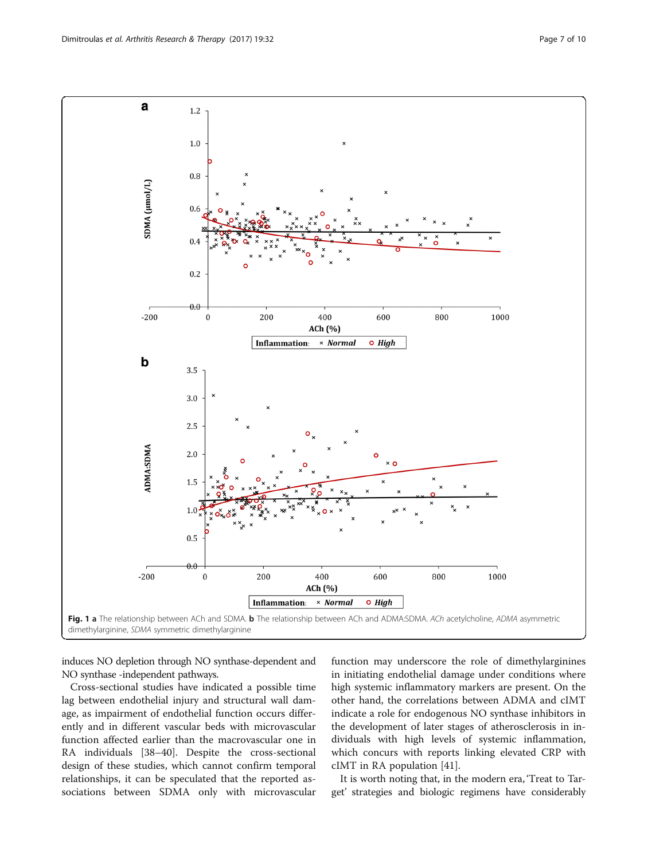<span id="page-6-0"></span>

induces NO depletion through NO synthase-dependent and NO synthase -independent pathways.

Cross-sectional studies have indicated a possible time lag between endothelial injury and structural wall damage, as impairment of endothelial function occurs differently and in different vascular beds with microvascular function affected earlier than the macrovascular one in RA individuals [[38](#page-9-0)–[40](#page-9-0)]. Despite the cross-sectional design of these studies, which cannot confirm temporal relationships, it can be speculated that the reported associations between SDMA only with microvascular

function may underscore the role of dimethylarginines in initiating endothelial damage under conditions where high systemic inflammatory markers are present. On the other hand, the correlations between ADMA and cIMT indicate a role for endogenous NO synthase inhibitors in the development of later stages of atherosclerosis in individuals with high levels of systemic inflammation, which concurs with reports linking elevated CRP with cIMT in RA population [\[41](#page-9-0)].

It is worth noting that, in the modern era, 'Treat to Target' strategies and biologic regimens have considerably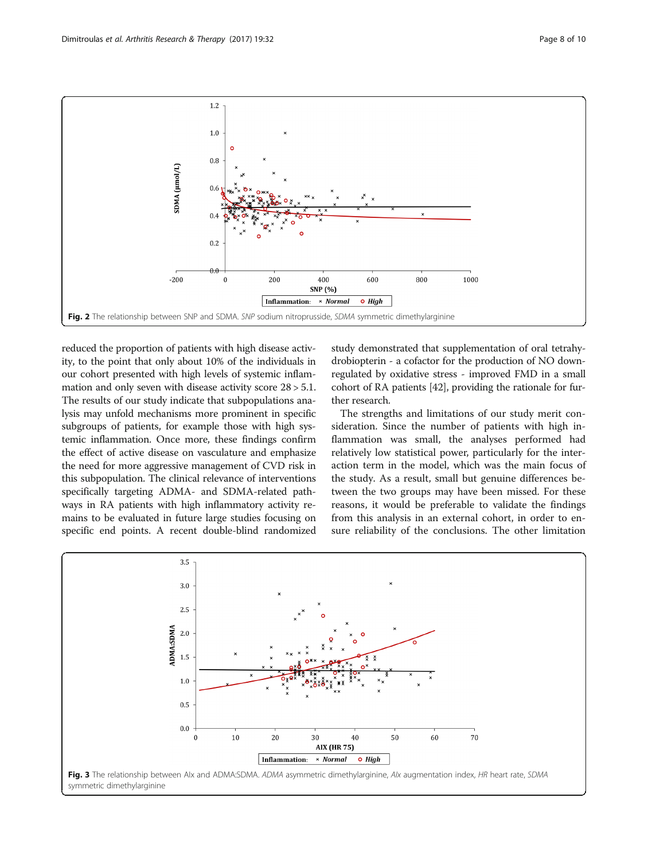<span id="page-7-0"></span>

reduced the proportion of patients with high disease activity, to the point that only about 10% of the individuals in our cohort presented with high levels of systemic inflammation and only seven with disease activity score 28 > 5.1. The results of our study indicate that subpopulations analysis may unfold mechanisms more prominent in specific subgroups of patients, for example those with high systemic inflammation. Once more, these findings confirm the effect of active disease on vasculature and emphasize the need for more aggressive management of CVD risk in this subpopulation. The clinical relevance of interventions specifically targeting ADMA- and SDMA-related pathways in RA patients with high inflammatory activity remains to be evaluated in future large studies focusing on specific end points. A recent double-blind randomized study demonstrated that supplementation of oral tetrahydrobiopterin - a cofactor for the production of NO downregulated by oxidative stress - improved FMD in a small cohort of RA patients [[42](#page-9-0)], providing the rationale for further research.

The strengths and limitations of our study merit consideration. Since the number of patients with high inflammation was small, the analyses performed had relatively low statistical power, particularly for the interaction term in the model, which was the main focus of the study. As a result, small but genuine differences between the two groups may have been missed. For these reasons, it would be preferable to validate the findings from this analysis in an external cohort, in order to ensure reliability of the conclusions. The other limitation

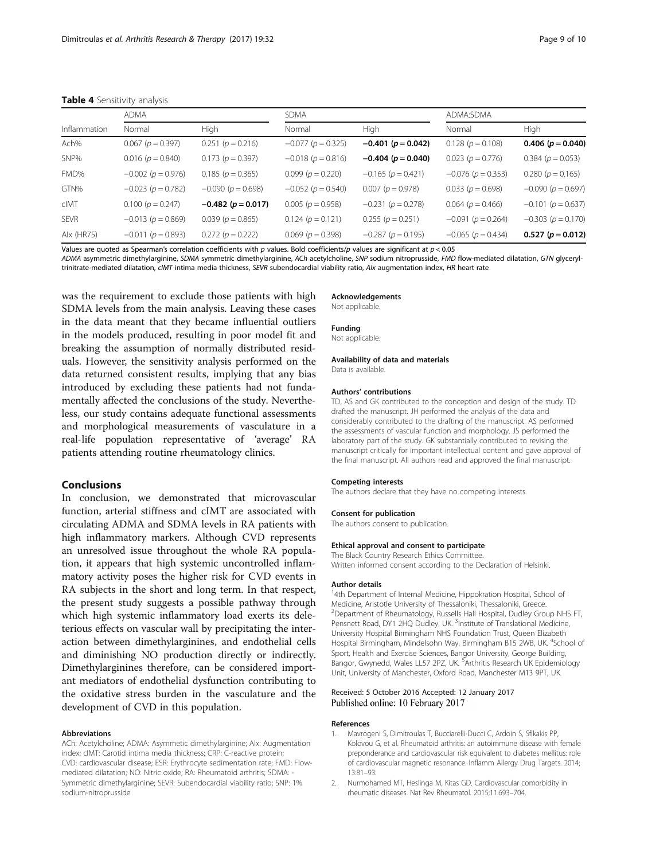#### <span id="page-8-0"></span>Table 4 Sensitivity analysis

|              | <b>ADMA</b>              |                          | <b>SDMA</b>              |                          | ADMA:SDMA                |                          |
|--------------|--------------------------|--------------------------|--------------------------|--------------------------|--------------------------|--------------------------|
| Inflammation | Normal                   | High                     | Normal                   | High                     | Normal                   | High                     |
| Ach%         | $0.067$ ( $p = 0.397$ )  | $0.251(p = 0.216)$       | $-0.077$ ( $p = 0.325$ ) | $-0.401$ ( $p = 0.042$ ) | $0.128(p = 0.108)$       | $0.406 (p = 0.040)$      |
| SNP%         | $0.016$ ( $p = 0.840$ )  | $0.173(p = 0.397)$       | $-0.018$ ( $p = 0.816$ ) | $-0.404$ ( $p = 0.040$ ) | $0.023(p = 0.776)$       | $0.384(p = 0.053)$       |
| FMD%         | $-0.002(p = 0.976)$      | $0.185(p = 0.365)$       | $0.099(p = 0.220)$       | $-0.165$ ( $p = 0.421$ ) | $-0.076$ ( $p = 0.353$ ) | $0.280(p = 0.165)$       |
| GTN%         | $-0.023$ ( $p = 0.782$ ) | $-0.090(p = 0.698)$      | $-0.052(p = 0.540)$      | $0.007(p = 0.978)$       | $0.033(p = 0.698)$       | $-0.090$ ( $p = 0.697$ ) |
| cIMT         | $0.100(p = 0.247)$       | $-0.482$ ( $p = 0.017$ ) | $0.005(p = 0.958)$       | $-0.231(p = 0.278)$      | $0.064$ ( $p = 0.466$ )  | $-0.101 (p = 0.637)$     |
| <b>SEVR</b>  | $-0.013$ ( $p = 0.869$ ) | $0.039(p = 0.865)$       | $0.124(p = 0.121)$       | $0.255(p = 0.251)$       | $-0.091$ ( $p = 0.264$ ) | $-0.303$ ( $p = 0.170$ ) |
| Alx (HR75)   | $-0.011(p = 0.893)$      | $0.272(p = 0.222)$       | $0.069(p = 0.398)$       | $-0.287$ ( $p = 0.195$ ) | $-0.065$ ( $p = 0.434$ ) | $0.527(p = 0.012)$       |

Values are quoted as Spearman's correlation coefficients with p values. Bold coefficients/p values are significant at  $p < 0.05$ 

ADMA asymmetric dimethylarginine, SDMA symmetric dimethylarginine, ACh acetylcholine, SNP sodium nitroprusside, FMD flow-mediated dilatation, GTN glyceryltrinitrate-mediated dilatation, cIMT intima media thickness, SEVR subendocardial viability ratio, AIx augmentation index, HR heart rate

was the requirement to exclude those patients with high SDMA levels from the main analysis. Leaving these cases in the data meant that they became influential outliers in the models produced, resulting in poor model fit and breaking the assumption of normally distributed residuals. However, the sensitivity analysis performed on the data returned consistent results, implying that any bias introduced by excluding these patients had not fundamentally affected the conclusions of the study. Nevertheless, our study contains adequate functional assessments and morphological measurements of vasculature in a real-life population representative of 'average' RA patients attending routine rheumatology clinics.

#### Conclusions

In conclusion, we demonstrated that microvascular function, arterial stiffness and cIMT are associated with circulating ADMA and SDMA levels in RA patients with high inflammatory markers. Although CVD represents an unresolved issue throughout the whole RA population, it appears that high systemic uncontrolled inflammatory activity poses the higher risk for CVD events in RA subjects in the short and long term. In that respect, the present study suggests a possible pathway through which high systemic inflammatory load exerts its deleterious effects on vascular wall by precipitating the interaction between dimethylarginines, and endothelial cells and diminishing NO production directly or indirectly. Dimethylarginines therefore, can be considered important mediators of endothelial dysfunction contributing to the oxidative stress burden in the vasculature and the development of CVD in this population.

#### Abbreviations

ACh: Acetylcholine; ADMA: Asymmetic dimethylarginine; AIx: Augmentation index; cIMT: Carotid intima media thickness; CRP: C-reactive protein; CVD: cardiovascular disease; ESR: Erythrocyte sedimentation rate; FMD: Flowmediated dilatation; NO: Nitric oxide; RA: Rheumatoid arthritis; SDMA: - Symmetric dimethylarginine; SEVR: Subendocardial viability ratio; SNP: 1% sodium-nitroprusside

#### Acknowledgements

Not applicable.

#### Funding

Not applicable.

Availability of data and materials Data is available.

#### Authors' contributions

TD, AS and GK contributed to the conception and design of the study. TD drafted the manuscript. JH performed the analysis of the data and considerably contributed to the drafting of the manuscript. AS performed the assessments of vascular function and morphology. JS performed the laboratory part of the study. GK substantially contributed to revising the manuscript critically for important intellectual content and gave approval of the final manuscript. All authors read and approved the final manuscript.

#### Competing interests

The authors declare that they have no competing interests.

#### Consent for publication

The authors consent to publication.

#### Ethical approval and consent to participate

The Black Country Research Ethics Committee. Written informed consent according to the Declaration of Helsinki.

#### Author details

<sup>1</sup>4th Department of Internal Medicine, Hippokration Hospital, School of Medicine, Aristotle University of Thessaloniki, Thessaloniki, Greece. <sup>2</sup> Department of Rheumatology, Russells Hall Hospital, Dudley Group NHS FT, Pensnett Road, DY1 2HQ Dudley, UK. <sup>3</sup>Institute of Translational Medicine, University Hospital Birmingham NHS Foundation Trust, Queen Elizabeth Hospital Birmingham, Mindelsohn Way, Birmingham B15 2WB, UK. <sup>4</sup>School of Sport, Health and Exercise Sciences, Bangor University, George Building, Bangor, Gwynedd, Wales LL57 2PZ, UK. <sup>5</sup>Arthritis Research UK Epidemiology Unit, University of Manchester, Oxford Road, Manchester M13 9PT, UK.

#### Received: 5 October 2016 Accepted: 12 January 2017 Published online: 10 February 2017

#### References

- 1. Mavrogeni S, Dimitroulas T, Bucciarelli-Ducci C, Ardoin S, Sfikakis PP, Kolovou G, et al. Rheumatoid arthritis: an autoimmune disease with female preponderance and cardiovascular risk equivalent to diabetes mellitus: role of cardiovascular magnetic resonance. Inflamm Allergy Drug Targets. 2014; 13:81–93.
- 2. Nurmohamed MT, Heslinga M, Kitas GD. Cardiovascular comorbidity in rheumatic diseases. Nat Rev Rheumatol. 2015;11:693–704.